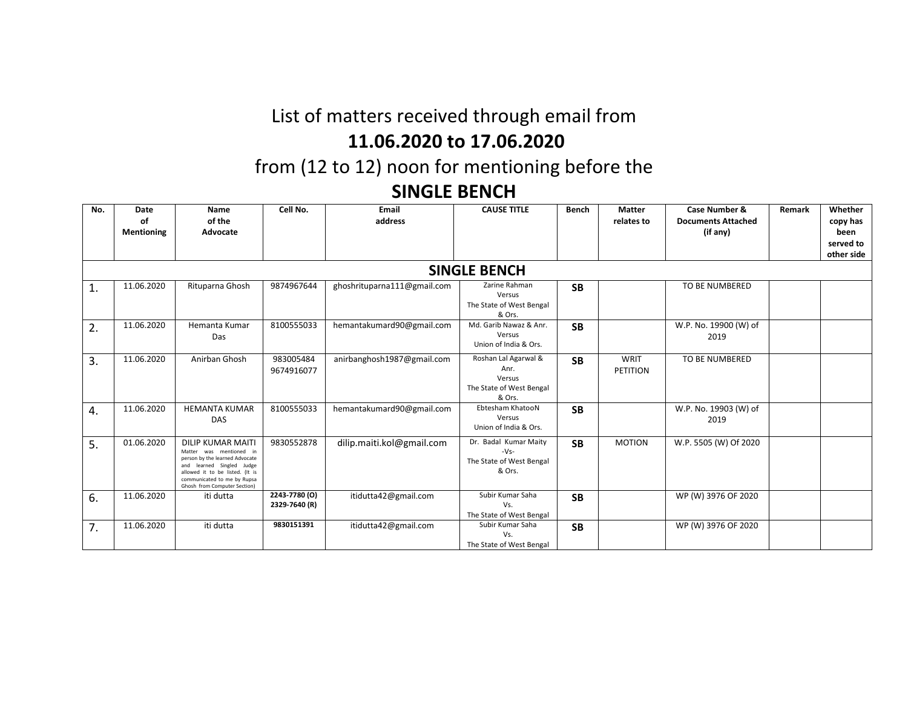# List of matters received through email from **11.06.2020 to 17.06.2020**

from (12 to 12) noon for mentioning before the

### **SINGLE BENCH**

| No. | Date<br>οf<br><b>Mentioning</b> | Name<br>of the<br>Advocate                                                                                                                                                                                             | Cell No.                       | <b>Email</b><br>address     | <b>CAUSE TITLE</b>                                                           | <b>Bench</b> | <b>Matter</b><br>relates to | Case Number &<br><b>Documents Attached</b><br>(if any) | Remark | Whether<br>copy has<br>been<br>served to |
|-----|---------------------------------|------------------------------------------------------------------------------------------------------------------------------------------------------------------------------------------------------------------------|--------------------------------|-----------------------------|------------------------------------------------------------------------------|--------------|-----------------------------|--------------------------------------------------------|--------|------------------------------------------|
|     |                                 |                                                                                                                                                                                                                        |                                |                             |                                                                              |              |                             |                                                        |        | other side                               |
|     |                                 |                                                                                                                                                                                                                        |                                |                             | <b>SINGLE BENCH</b>                                                          |              |                             |                                                        |        |                                          |
| 1.  | 11.06.2020                      | Rituparna Ghosh                                                                                                                                                                                                        | 9874967644                     | ghoshrituparna111@gmail.com | Zarine Rahman<br>Versus<br>The State of West Bengal<br>& Ors.                | <b>SB</b>    |                             | TO BE NUMBERED                                         |        |                                          |
| 2.  | 11.06.2020                      | Hemanta Kumar<br>Das                                                                                                                                                                                                   | 8100555033                     | hemantakumard90@gmail.com   | Md. Garib Nawaz & Anr.<br>Versus<br>Union of India & Ors.                    | <b>SB</b>    |                             | W.P. No. 19900 (W) of<br>2019                          |        |                                          |
| 3.  | 11.06.2020                      | Anirban Ghosh                                                                                                                                                                                                          | 983005484<br>9674916077        | anirbanghosh1987@gmail.com  | Roshan Lal Agarwal &<br>Anr.<br>Versus<br>The State of West Bengal<br>& Ors. | <b>SB</b>    | WRIT<br><b>PETITION</b>     | TO BE NUMBERED                                         |        |                                          |
| 4.  | 11.06.2020                      | <b>HEMANTA KUMAR</b><br>DAS                                                                                                                                                                                            | 8100555033                     | hemantakumard90@gmail.com   | Ebtesham KhatooN<br>Versus<br>Union of India & Ors.                          | <b>SB</b>    |                             | W.P. No. 19903 (W) of<br>2019                          |        |                                          |
| 5.  | 01.06.2020                      | <b>DILIP KUMAR MAITI</b><br>was mentioned in<br>Matter<br>person by the learned Advocate<br>Singled Judge<br>learned<br>allowed it to be listed. (It is<br>communicated to me by Rupsa<br>Ghosh from Computer Section) | 9830552878                     | dilip.maiti.kol@gmail.com   | Dr. Badal Kumar Maity<br>$-Vs-$<br>The State of West Bengal<br>& Ors.        | <b>SB</b>    | <b>MOTION</b>               | W.P. 5505 (W) Of 2020                                  |        |                                          |
| 6.  | 11.06.2020                      | iti dutta                                                                                                                                                                                                              | 2243-7780 (O)<br>2329-7640 (R) | itidutta42@gmail.com        | Subir Kumar Saha<br>Vs.<br>The State of West Bengal                          | <b>SB</b>    |                             | WP (W) 3976 OF 2020                                    |        |                                          |
| 7.  | 11.06.2020                      | iti dutta                                                                                                                                                                                                              | 9830151391                     | itidutta42@gmail.com        | Subir Kumar Saha<br>Vs.<br>The State of West Bengal                          | <b>SB</b>    |                             | WP (W) 3976 OF 2020                                    |        |                                          |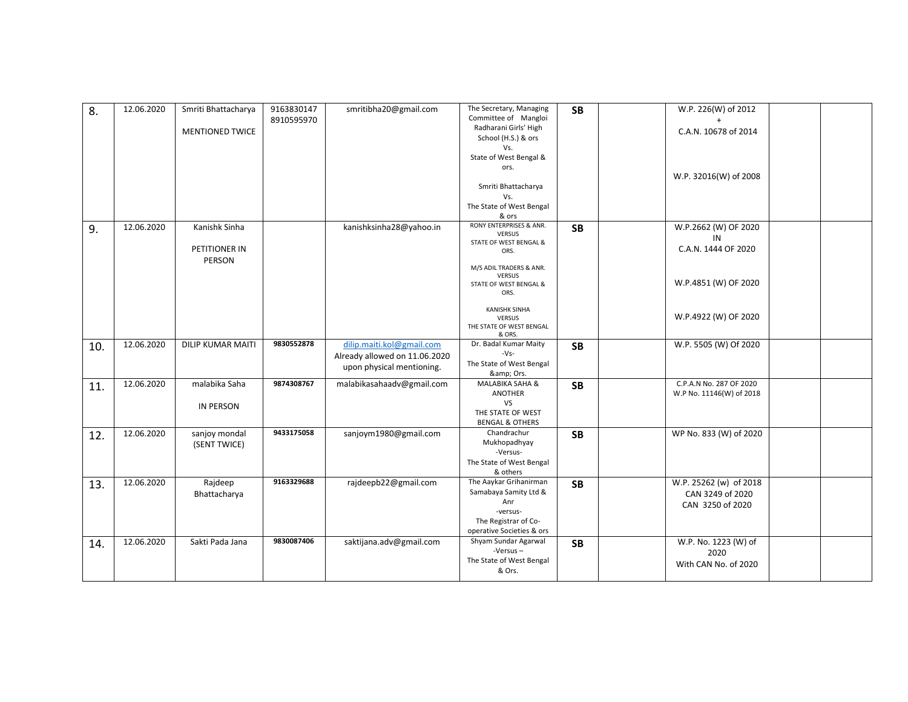| 8.  | 12.06.2020 | Smriti Bhattacharya           | 9163830147<br>8910595970 | smritibha20@gmail.com                                      | The Secretary, Managing<br>Committee of Mangloi | <b>SB</b> | W.P. 226(W) of 2012                                 |  |
|-----|------------|-------------------------------|--------------------------|------------------------------------------------------------|-------------------------------------------------|-----------|-----------------------------------------------------|--|
|     |            | <b>MENTIONED TWICE</b>        |                          |                                                            | Radharani Girls' High<br>School (H.S.) & ors    |           | C.A.N. 10678 of 2014                                |  |
|     |            |                               |                          |                                                            | Vs.<br>State of West Bengal &                   |           |                                                     |  |
|     |            |                               |                          |                                                            | ors.                                            |           | W.P. 32016(W) of 2008                               |  |
|     |            |                               |                          |                                                            | Smriti Bhattacharya                             |           |                                                     |  |
|     |            |                               |                          |                                                            | Vs.<br>The State of West Bengal                 |           |                                                     |  |
|     |            |                               |                          |                                                            | & ors                                           |           |                                                     |  |
| 9.  | 12.06.2020 | Kanishk Sinha                 |                          | kanishksinha28@yahoo.in                                    | RONY ENTERPRISES & ANR.<br><b>VERSUS</b>        | <b>SB</b> | W.P.2662 (W) OF 2020                                |  |
|     |            |                               |                          |                                                            | STATE OF WEST BENGAL &                          |           | IN                                                  |  |
|     |            | PETITIONER IN<br>PERSON       |                          |                                                            | ORS.                                            |           | C.A.N. 1444 OF 2020                                 |  |
|     |            |                               |                          |                                                            | M/S ADIL TRADERS & ANR.                         |           |                                                     |  |
|     |            |                               |                          |                                                            | <b>VERSUS</b><br>STATE OF WEST BENGAL &         |           | W.P.4851 (W) OF 2020                                |  |
|     |            |                               |                          |                                                            | ORS.                                            |           |                                                     |  |
|     |            |                               |                          |                                                            | <b>KANISHK SINHA</b>                            |           |                                                     |  |
|     |            |                               |                          |                                                            | <b>VERSUS</b><br>THE STATE OF WEST BENGAL       |           | W.P.4922 (W) OF 2020                                |  |
|     |            |                               |                          |                                                            | & ORS.                                          |           |                                                     |  |
| 10. | 12.06.2020 | <b>DILIP KUMAR MAITI</b>      | 9830552878               | dilip.maiti.kol@gmail.com                                  | Dr. Badal Kumar Maity<br>$-Vs-$                 | <b>SB</b> | W.P. 5505 (W) Of 2020                               |  |
|     |            |                               |                          | Already allowed on 11.06.2020<br>upon physical mentioning. | The State of West Bengal                        |           |                                                     |  |
|     |            |                               |                          |                                                            | & Ors.                                          |           |                                                     |  |
| 11. | 12.06.2020 | malabika Saha                 | 9874308767               | malabikasahaadv@gmail.com                                  | MALABIKA SAHA &<br><b>ANOTHER</b>               | <b>SB</b> | C.P.A.N No. 287 OF 2020<br>W.P No. 11146(W) of 2018 |  |
|     |            | <b>IN PERSON</b>              |                          |                                                            | VS                                              |           |                                                     |  |
|     |            |                               |                          |                                                            | THE STATE OF WEST                               |           |                                                     |  |
|     |            |                               |                          |                                                            | <b>BENGAL &amp; OTHERS</b>                      |           |                                                     |  |
| 12. | 12.06.2020 | sanjoy mondal<br>(SENT TWICE) | 9433175058               | sanjoym1980@gmail.com                                      | Chandrachur<br>Mukhopadhyay                     | <b>SB</b> | WP No. 833 (W) of 2020                              |  |
|     |            |                               |                          |                                                            | -Versus-                                        |           |                                                     |  |
|     |            |                               |                          |                                                            | The State of West Bengal<br>& others            |           |                                                     |  |
| 13. | 12.06.2020 | Rajdeep                       | 9163329688               | rajdeepb22@gmail.com                                       | The Aaykar Grihanirman                          | <b>SB</b> | W.P. 25262 (w) of 2018                              |  |
|     |            | Bhattacharya                  |                          |                                                            | Samabaya Samity Ltd &                           |           | CAN 3249 of 2020                                    |  |
|     |            |                               |                          |                                                            | Anr                                             |           | CAN 3250 of 2020                                    |  |
|     |            |                               |                          |                                                            | -versus-<br>The Registrar of Co-                |           |                                                     |  |
|     |            |                               |                          |                                                            | operative Societies & ors                       |           |                                                     |  |
| 14. | 12.06.2020 | Sakti Pada Jana               | 9830087406               | saktijana.adv@gmail.com                                    | Shyam Sundar Agarwal<br>$-Versus -$             | <b>SB</b> | W.P. No. 1223 (W) of                                |  |
|     |            |                               |                          |                                                            | The State of West Bengal                        |           | 2020                                                |  |
|     |            |                               |                          |                                                            | & Ors.                                          |           | With CAN No. of 2020                                |  |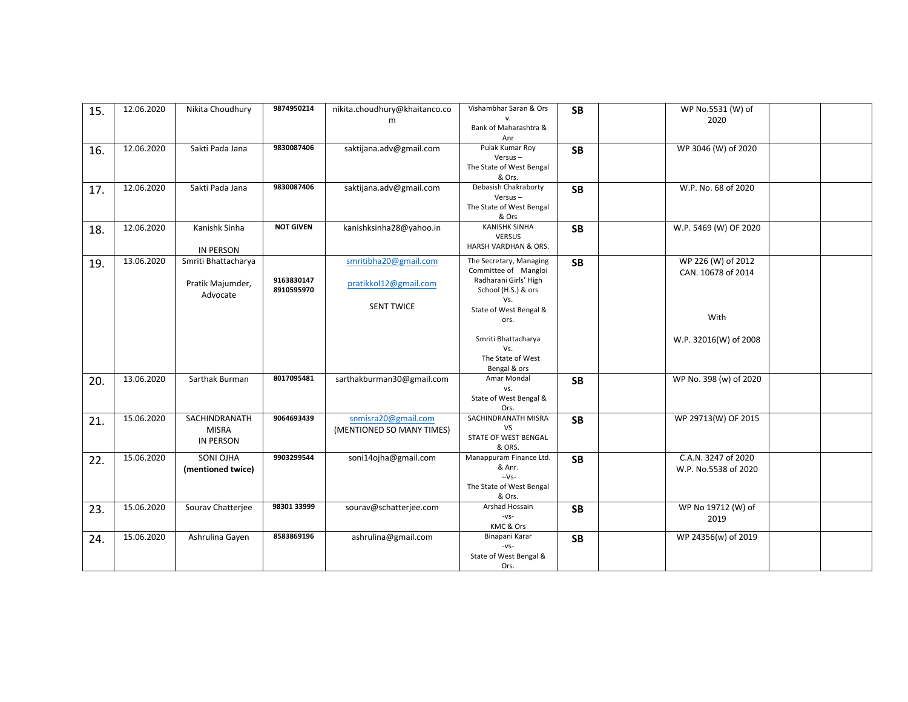| 15. | 12.06.2020 | Nikita Choudhury    | 9874950214               | nikita.choudhury@khaitanco.co | Vishambhar Saran & Ors<br>v.                 | <b>SB</b> | WP No.5531 (W) of<br>2020 |  |
|-----|------------|---------------------|--------------------------|-------------------------------|----------------------------------------------|-----------|---------------------------|--|
|     |            |                     |                          | m                             | Bank of Maharashtra &                        |           |                           |  |
|     |            |                     |                          |                               | Anr                                          |           |                           |  |
| 16. | 12.06.2020 | Sakti Pada Jana     | 9830087406               | saktijana.adv@gmail.com       | Pulak Kumar Roy                              | <b>SB</b> | WP 3046 (W) of 2020       |  |
|     |            |                     |                          |                               | $Versus -$                                   |           |                           |  |
|     |            |                     |                          |                               | The State of West Bengal<br>& Ors.           |           |                           |  |
|     | 12.06.2020 | Sakti Pada Jana     | 9830087406               | saktijana.adv@gmail.com       | Debasish Chakraborty                         | <b>SB</b> | W.P. No. 68 of 2020       |  |
| 17. |            |                     |                          |                               | $Versus -$                                   |           |                           |  |
|     |            |                     |                          |                               | The State of West Bengal                     |           |                           |  |
|     |            |                     |                          |                               | & Ors                                        |           |                           |  |
| 18. | 12.06.2020 | Kanishk Sinha       | <b>NOT GIVEN</b>         | kanishksinha28@yahoo.in       | <b>KANISHK SINHA</b>                         | <b>SB</b> | W.P. 5469 (W) OF 2020     |  |
|     |            |                     |                          |                               | <b>VERSUS</b>                                |           |                           |  |
|     |            | <b>IN PERSON</b>    |                          |                               | HARSH VARDHAN & ORS.                         |           |                           |  |
| 19. | 13.06.2020 | Smriti Bhattacharya |                          | smritibha20@gmail.com         | The Secretary, Managing                      | <b>SB</b> | WP 226 (W) of 2012        |  |
|     |            |                     |                          |                               | Committee of Mangloi                         |           | CAN. 10678 of 2014        |  |
|     |            | Pratik Majumder,    | 9163830147<br>8910595970 | pratikkol12@gmail.com         | Radharani Girls' High<br>School (H.S.) & ors |           |                           |  |
|     |            | Advocate            |                          |                               | Vs.                                          |           |                           |  |
|     |            |                     |                          | <b>SENT TWICE</b>             | State of West Bengal &                       |           |                           |  |
|     |            |                     |                          |                               | ors.                                         |           | With                      |  |
|     |            |                     |                          |                               |                                              |           |                           |  |
|     |            |                     |                          |                               | Smriti Bhattacharya                          |           | W.P. 32016(W) of 2008     |  |
|     |            |                     |                          |                               | Vs.<br>The State of West                     |           |                           |  |
|     |            |                     |                          |                               | Bengal & ors                                 |           |                           |  |
| 20. | 13.06.2020 | Sarthak Burman      | 8017095481               | sarthakburman30@gmail.com     | Amar Mondal                                  | <b>SB</b> | WP No. 398 (w) of 2020    |  |
|     |            |                     |                          |                               | VS.                                          |           |                           |  |
|     |            |                     |                          |                               | State of West Bengal &                       |           |                           |  |
|     |            |                     |                          |                               | Ors.                                         |           |                           |  |
| 21. | 15.06.2020 | SACHINDRANATH       | 9064693439               | snmisra20@gmail.com           | SACHINDRANATH MISRA<br>VS                    | <b>SB</b> | WP 29713(W) OF 2015       |  |
|     |            | <b>MISRA</b>        |                          | (MENTIONED SO MANY TIMES)     | STATE OF WEST BENGAL                         |           |                           |  |
|     |            | <b>IN PERSON</b>    |                          |                               | & ORS.                                       |           |                           |  |
| 22. | 15.06.2020 | SONI OJHA           | 9903299544               | soni14ojha@gmail.com          | Manappuram Finance Ltd.                      | <b>SB</b> | C.A.N. 3247 of 2020       |  |
|     |            | (mentioned twice)   |                          |                               | & Anr.                                       |           | W.P. No.5538 of 2020      |  |
|     |            |                     |                          |                               | $-Vs-$                                       |           |                           |  |
|     |            |                     |                          |                               | The State of West Bengal<br>& Ors.           |           |                           |  |
|     | 15.06.2020 | Sourav Chatterjee   | 98301 33999              | sourav@schatterjee.com        | Arshad Hossain                               |           | WP No 19712 (W) of        |  |
| 23. |            |                     |                          |                               | $-VS-$                                       | <b>SB</b> | 2019                      |  |
|     |            |                     |                          |                               | KMC & Ors                                    |           |                           |  |
| 24. | 15.06.2020 | Ashrulina Gayen     | 8583869196               | ashrulina@gmail.com           | Binapani Karar                               | <b>SB</b> | WP 24356(w) of 2019       |  |
|     |            |                     |                          |                               | $-VS-$                                       |           |                           |  |
|     |            |                     |                          |                               | State of West Bengal &                       |           |                           |  |
|     |            |                     |                          |                               | Ors.                                         |           |                           |  |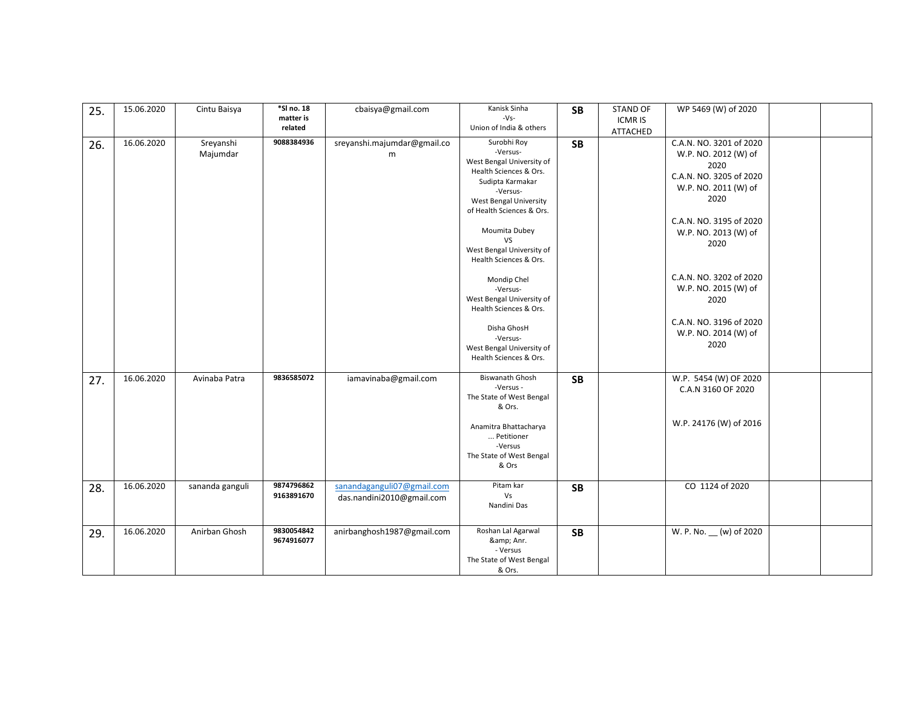| 25. | 15.06.2020 | Cintu Baisya          | *SI no. 18<br>matter is<br>related | cbaisya@gmail.com                                       | Kanisk Sinha<br>$-Vs-$<br>Union of India & others                                                                                                                                                                                                                                                                                            | <b>SB</b> | <b>STAND OF</b><br><b>ICMR IS</b> | WP 5469 (W) of 2020                                                                                                                                                                                                                                                 |  |
|-----|------------|-----------------------|------------------------------------|---------------------------------------------------------|----------------------------------------------------------------------------------------------------------------------------------------------------------------------------------------------------------------------------------------------------------------------------------------------------------------------------------------------|-----------|-----------------------------------|---------------------------------------------------------------------------------------------------------------------------------------------------------------------------------------------------------------------------------------------------------------------|--|
| 26. | 16.06.2020 | Sreyanshi<br>Majumdar | 9088384936                         | sreyanshi.majumdar@gmail.co<br>m                        | Surobhi Roy<br>-Versus-<br>West Bengal University of<br>Health Sciences & Ors.<br>Sudipta Karmakar<br>-Versus-<br><b>West Bengal University</b><br>of Health Sciences & Ors.<br>Moumita Dubey<br>VS<br>West Bengal University of<br>Health Sciences & Ors.<br>Mondip Chel<br>-Versus-<br>West Bengal University of<br>Health Sciences & Ors. | <b>SB</b> | ATTACHED                          | C.A.N. NO. 3201 of 2020<br>W.P. NO. 2012 (W) of<br>2020<br>C.A.N. NO. 3205 of 2020<br>W.P. NO. 2011 (W) of<br>2020<br>C.A.N. NO. 3195 of 2020<br>W.P. NO. 2013 (W) of<br>2020<br>C.A.N. NO. 3202 of 2020<br>W.P. NO. 2015 (W) of<br>2020<br>C.A.N. NO. 3196 of 2020 |  |
|     |            |                       |                                    |                                                         | Disha GhosH<br>-Versus-<br>West Bengal University of<br>Health Sciences & Ors.                                                                                                                                                                                                                                                               |           |                                   | W.P. NO. 2014 (W) of<br>2020                                                                                                                                                                                                                                        |  |
| 27. | 16.06.2020 | Avinaba Patra         | 9836585072                         | iamavinaba@gmail.com                                    | <b>Biswanath Ghosh</b><br>-Versus -<br>The State of West Bengal<br>& Ors.<br>Anamitra Bhattacharya<br>Petitioner<br>-Versus<br>The State of West Bengal<br>& Ors                                                                                                                                                                             | <b>SB</b> |                                   | W.P. 5454 (W) OF 2020<br>C.A.N 3160 OF 2020<br>W.P. 24176 (W) of 2016                                                                                                                                                                                               |  |
| 28. | 16.06.2020 | sananda ganguli       | 9874796862<br>9163891670           | sanandaganguli07@gmail.com<br>das.nandini2010@gmail.com | Pitam kar<br>Vs<br>Nandini Das                                                                                                                                                                                                                                                                                                               | <b>SB</b> |                                   | CO 1124 of 2020                                                                                                                                                                                                                                                     |  |
| 29. | 16.06.2020 | Anirban Ghosh         | 9830054842<br>9674916077           | anirbanghosh1987@gmail.com                              | Roshan Lal Agarwal<br>& Anr.<br>- Versus<br>The State of West Bengal<br>& Ors.                                                                                                                                                                                                                                                               | <b>SB</b> |                                   | W. P. No. __ (w) of 2020                                                                                                                                                                                                                                            |  |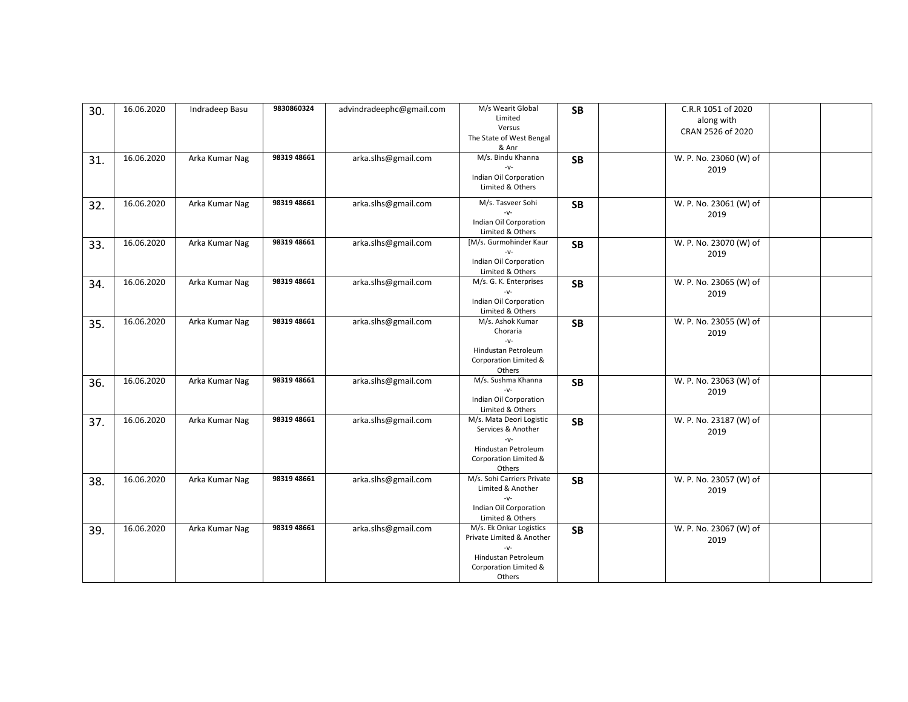| 30. | 16.06.2020 | Indradeep Basu | 9830860324  | advindradeephc@gmail.com | M/s Wearit Global                    | <b>SB</b> | C.R.R 1051 of 2020     |  |
|-----|------------|----------------|-------------|--------------------------|--------------------------------------|-----------|------------------------|--|
|     |            |                |             |                          | Limited<br>Versus                    |           | along with             |  |
|     |            |                |             |                          | The State of West Bengal             |           | CRAN 2526 of 2020      |  |
|     |            |                |             |                          | & Anr                                |           |                        |  |
| 31. | 16.06.2020 | Arka Kumar Nag | 98319 48661 | arka.slhs@gmail.com      | M/s. Bindu Khanna                    | <b>SB</b> | W. P. No. 23060 (W) of |  |
|     |            |                |             |                          | $-V$ -                               |           | 2019                   |  |
|     |            |                |             |                          | Indian Oil Corporation               |           |                        |  |
|     |            |                |             |                          | Limited & Others                     |           |                        |  |
|     | 16.06.2020 | Arka Kumar Nag | 98319 48661 | arka.slhs@gmail.com      | M/s. Tasveer Sohi                    |           | W. P. No. 23061 (W) of |  |
| 32. |            |                |             |                          | $-V$ -                               | <b>SB</b> | 2019                   |  |
|     |            |                |             |                          | Indian Oil Corporation               |           |                        |  |
|     |            |                |             |                          | Limited & Others                     |           |                        |  |
| 33. | 16.06.2020 | Arka Kumar Nag | 98319 48661 | arka.slhs@gmail.com      | [M/s. Gurmohinder Kaur               | <b>SB</b> | W. P. No. 23070 (W) of |  |
|     |            |                |             |                          |                                      |           | 2019                   |  |
|     |            |                |             |                          | Indian Oil Corporation               |           |                        |  |
|     |            |                |             |                          | Limited & Others                     |           |                        |  |
| 34. | 16.06.2020 | Arka Kumar Nag | 98319 48661 | arka.slhs@gmail.com      | M/s. G. K. Enterprises               | <b>SB</b> | W. P. No. 23065 (W) of |  |
|     |            |                |             |                          | $-V$ -                               |           | 2019                   |  |
|     |            |                |             |                          | Indian Oil Corporation               |           |                        |  |
|     | 16.06.2020 |                | 98319 48661 |                          | Limited & Others<br>M/s. Ashok Kumar |           |                        |  |
| 35. |            | Arka Kumar Nag |             | arka.slhs@gmail.com      | Choraria                             | <b>SB</b> | W. P. No. 23055 (W) of |  |
|     |            |                |             |                          | $-V$ -                               |           | 2019                   |  |
|     |            |                |             |                          | Hindustan Petroleum                  |           |                        |  |
|     |            |                |             |                          | Corporation Limited &                |           |                        |  |
|     |            |                |             |                          | Others                               |           |                        |  |
| 36. | 16.06.2020 | Arka Kumar Nag | 98319 48661 | arka.slhs@gmail.com      | M/s. Sushma Khanna                   | <b>SB</b> | W. P. No. 23063 (W) of |  |
|     |            |                |             |                          | $-V$ -                               |           | 2019                   |  |
|     |            |                |             |                          | Indian Oil Corporation               |           |                        |  |
|     |            |                |             |                          | Limited & Others                     |           |                        |  |
| 37. | 16.06.2020 | Arka Kumar Nag | 98319 48661 | arka.slhs@gmail.com      | M/s. Mata Deori Logistic             | <b>SB</b> | W. P. No. 23187 (W) of |  |
|     |            |                |             |                          | Services & Another<br>$-V$ -         |           | 2019                   |  |
|     |            |                |             |                          | Hindustan Petroleum                  |           |                        |  |
|     |            |                |             |                          | Corporation Limited &                |           |                        |  |
|     |            |                |             |                          | Others                               |           |                        |  |
| 38. | 16.06.2020 | Arka Kumar Nag | 98319 48661 | arka.slhs@gmail.com      | M/s. Sohi Carriers Private           | <b>SB</b> | W. P. No. 23057 (W) of |  |
|     |            |                |             |                          | Limited & Another                    |           | 2019                   |  |
|     |            |                |             |                          | $-V$ -                               |           |                        |  |
|     |            |                |             |                          | Indian Oil Corporation               |           |                        |  |
|     |            |                |             |                          | Limited & Others                     |           |                        |  |
| 39. | 16.06.2020 | Arka Kumar Nag | 98319 48661 | arka.slhs@gmail.com      | M/s. Ek Onkar Logistics              | <b>SB</b> | W. P. No. 23067 (W) of |  |
|     |            |                |             |                          | Private Limited & Another            |           | 2019                   |  |
|     |            |                |             |                          | $-V$ -                               |           |                        |  |
|     |            |                |             |                          | Hindustan Petroleum                  |           |                        |  |
|     |            |                |             |                          | Corporation Limited &<br>Others      |           |                        |  |
|     |            |                |             |                          |                                      |           |                        |  |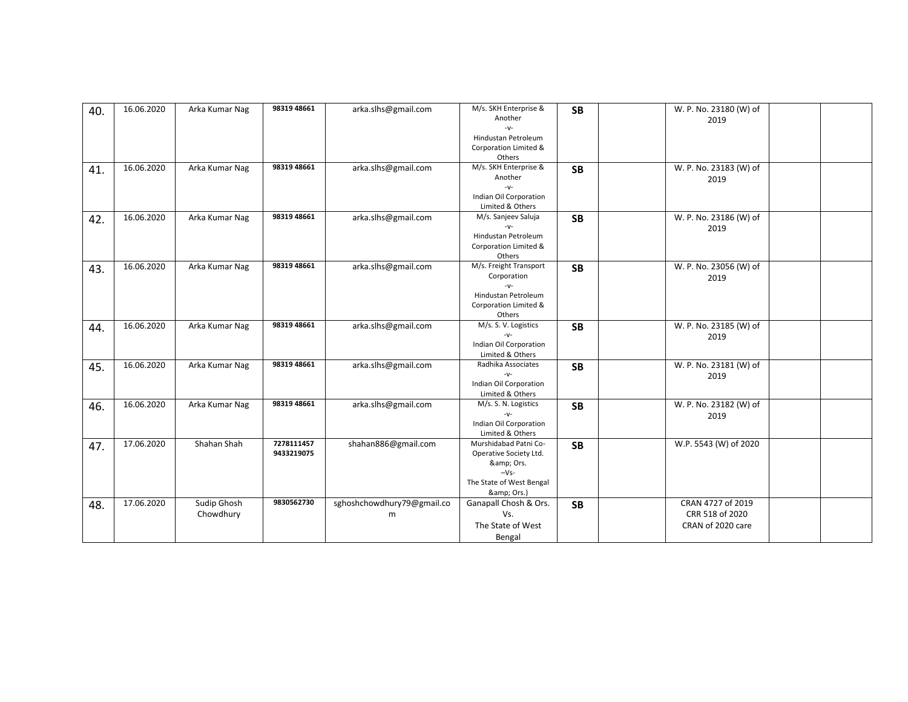| 40. | 16.06.2020 | Arka Kumar Nag | 98319 48661 | arka.slhs@gmail.com        | M/s. SKH Enterprise &<br>Another             | <b>SB</b> | W. P. No. 23180 (W) of<br>2019 |  |
|-----|------------|----------------|-------------|----------------------------|----------------------------------------------|-----------|--------------------------------|--|
|     |            |                |             |                            | $-V$ -                                       |           |                                |  |
|     |            |                |             |                            | Hindustan Petroleum<br>Corporation Limited & |           |                                |  |
|     |            |                |             |                            | Others                                       |           |                                |  |
| 41. | 16.06.2020 | Arka Kumar Nag | 98319 48661 | arka.slhs@gmail.com        | M/s. SKH Enterprise &                        | <b>SB</b> | W. P. No. 23183 (W) of         |  |
|     |            |                |             |                            | Another                                      |           | 2019                           |  |
|     |            |                |             |                            | $-V$ -                                       |           |                                |  |
|     |            |                |             |                            | Indian Oil Corporation                       |           |                                |  |
|     |            |                |             |                            | Limited & Others                             |           |                                |  |
| 42. | 16.06.2020 | Arka Kumar Nag | 98319 48661 | arka.slhs@gmail.com        | M/s. Sanjeev Saluja                          | <b>SB</b> | W. P. No. 23186 (W) of         |  |
|     |            |                |             |                            | $-V$ -                                       |           | 2019                           |  |
|     |            |                |             |                            | Hindustan Petroleum                          |           |                                |  |
|     |            |                |             |                            | Corporation Limited &<br>Others              |           |                                |  |
|     | 16.06.2020 | Arka Kumar Nag | 98319 48661 | arka.slhs@gmail.com        | M/s. Freight Transport                       |           | W. P. No. 23056 (W) of         |  |
| 43. |            |                |             |                            | Corporation                                  | <b>SB</b> |                                |  |
|     |            |                |             |                            | $-V$ -                                       |           | 2019                           |  |
|     |            |                |             |                            | Hindustan Petroleum                          |           |                                |  |
|     |            |                |             |                            | Corporation Limited &                        |           |                                |  |
|     |            |                |             |                            | Others                                       |           |                                |  |
| 44. | 16.06.2020 | Arka Kumar Nag | 98319 48661 | arka.slhs@gmail.com        | M/s. S. V. Logistics                         | <b>SB</b> | W. P. No. 23185 (W) of         |  |
|     |            |                |             |                            | $-V$ -                                       |           | 2019                           |  |
|     |            |                |             |                            | Indian Oil Corporation                       |           |                                |  |
|     |            |                |             |                            | Limited & Others                             |           |                                |  |
| 45. | 16.06.2020 | Arka Kumar Nag | 98319 48661 | arka.slhs@gmail.com        | Radhika Associates<br>$-V$ -                 | <b>SB</b> | W. P. No. 23181 (W) of         |  |
|     |            |                |             |                            | Indian Oil Corporation                       |           | 2019                           |  |
|     |            |                |             |                            | Limited & Others                             |           |                                |  |
| 46. | 16.06.2020 | Arka Kumar Nag | 98319 48661 | arka.slhs@gmail.com        | M/s. S. N. Logistics                         | <b>SB</b> | W. P. No. 23182 (W) of         |  |
|     |            |                |             |                            | $-V$ -                                       |           | 2019                           |  |
|     |            |                |             |                            | Indian Oil Corporation                       |           |                                |  |
|     |            |                |             |                            | Limited & Others                             |           |                                |  |
| 47. | 17.06.2020 | Shahan Shah    | 7278111457  | shahan886@gmail.com        | Murshidabad Patni Co-                        | <b>SB</b> | W.P. 5543 (W) of 2020          |  |
|     |            |                | 9433219075  |                            | Operative Society Ltd.                       |           |                                |  |
|     |            |                |             |                            | & Ors.                                       |           |                                |  |
|     |            |                |             |                            | $-Vs-$                                       |           |                                |  |
|     |            |                |             |                            | The State of West Bengal                     |           |                                |  |
|     | 17.06.2020 | Sudip Ghosh    | 9830562730  | sghoshchowdhury79@gmail.co | & Ors.)<br>Ganapall Chosh & Ors.             |           | CRAN 4727 of 2019              |  |
| 48. |            |                |             |                            | Vs.                                          | <b>SB</b> | CRR 518 of 2020                |  |
|     |            | Chowdhury      |             | m                          |                                              |           |                                |  |
|     |            |                |             |                            | The State of West                            |           | CRAN of 2020 care              |  |
|     |            |                |             |                            | Bengal                                       |           |                                |  |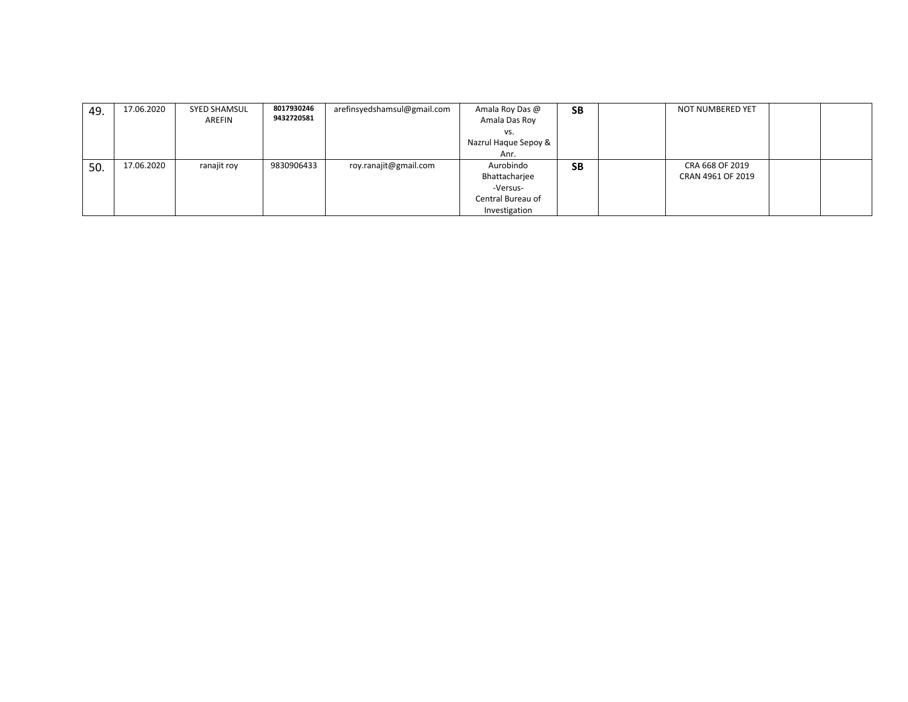| 49. | 17.06.2020 | <b>SYED SHAMSUL</b><br>AREFIN | 8017930246<br>9432720581 | arefinsyedshamsul@gmail.com | Amala Roy Das @<br>Amala Das Roy | <b>SB</b> | <b>NOT NUMBERED YET</b> |  |
|-----|------------|-------------------------------|--------------------------|-----------------------------|----------------------------------|-----------|-------------------------|--|
|     |            |                               |                          |                             | vs.                              |           |                         |  |
|     |            |                               |                          |                             | Nazrul Haque Sepoy &             |           |                         |  |
|     |            |                               |                          |                             | Anr.                             |           |                         |  |
| 50. | 17.06.2020 | ranajit roy                   | 9830906433               | roy.ranajit@gmail.com       | Aurobindo                        | <b>SB</b> | CRA 668 OF 2019         |  |
|     |            |                               |                          |                             | Bhattacharjee                    |           | CRAN 4961 OF 2019       |  |
|     |            |                               |                          |                             | -Versus-                         |           |                         |  |
|     |            |                               |                          |                             | Central Bureau of                |           |                         |  |
|     |            |                               |                          |                             | Investigation                    |           |                         |  |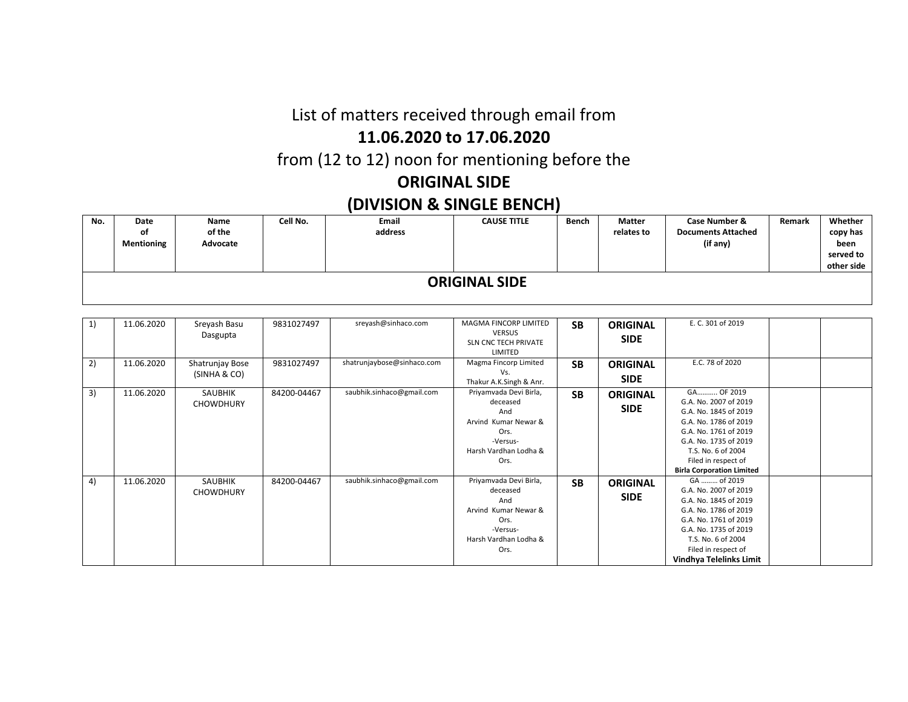### List of matters received through email from

#### **11.06.2020 to 17.06.2020**

from (12 to 12) noon for mentioning before the

# **ORIGINAL SIDE**

## **(DIVISION & SINGLE BENCH)**

| No. | Date<br>οf<br>Mentioning | Name<br>of the<br>Advocate | Cell No. | Email<br>address | <b>CAUSE TITLE</b> | Bench | <b>Matter</b><br>relates to | <b>Case Number &amp;</b><br><b>Documents Attached</b><br>(if any) | Remark | Whether<br>copy has<br>been<br>served to<br>other side |  |  |
|-----|--------------------------|----------------------------|----------|------------------|--------------------|-------|-----------------------------|-------------------------------------------------------------------|--------|--------------------------------------------------------|--|--|
|     | <b>ORIGINAL SIDE</b>     |                            |          |                  |                    |       |                             |                                                                   |        |                                                        |  |  |

| 1) | 11.06.2020 | Sreyash Basu<br>Dasgupta           | 9831027497  | sreyash@sinhaco.com<br>shatrunjaybose@sinhaco.com | MAGMA FINCORP LIMITED<br><b>VERSUS</b><br><b>SLN CNC TECH PRIVATE</b><br>LIMITED<br>Magma Fincorp Limited              | <b>SB</b> | <b>ORIGINAL</b><br><b>SIDE</b> | E. C. 301 of 2019<br>E.C. 78 of 2020                                                                                                                                                                                     |  |
|----|------------|------------------------------------|-------------|---------------------------------------------------|------------------------------------------------------------------------------------------------------------------------|-----------|--------------------------------|--------------------------------------------------------------------------------------------------------------------------------------------------------------------------------------------------------------------------|--|
| 2) | 11.06.2020 | Shatrunjay Bose<br>(SINHA & CO)    | 9831027497  |                                                   | Vs.<br>Thakur A.K.Singh & Anr.                                                                                         | <b>SB</b> | <b>ORIGINAL</b><br><b>SIDE</b> |                                                                                                                                                                                                                          |  |
| 3) | 11.06.2020 | SAUBHIK<br><b>CHOWDHURY</b>        | 84200-04467 | saubhik.sinhaco@gmail.com                         | Priyamvada Devi Birla,<br>deceased<br>And<br>Arvind Kumar Newar &<br>Ors.<br>-Versus-<br>Harsh Vardhan Lodha &<br>Ors. | <b>SB</b> | <b>ORIGINAL</b><br><b>SIDE</b> | GA OF 2019<br>G.A. No. 2007 of 2019<br>G.A. No. 1845 of 2019<br>G.A. No. 1786 of 2019<br>G.A. No. 1761 of 2019<br>G.A. No. 1735 of 2019<br>T.S. No. 6 of 2004<br>Filed in respect of<br><b>Birla Corporation Limited</b> |  |
| 4) | 11.06.2020 | <b>SAUBHIK</b><br><b>CHOWDHURY</b> | 84200-04467 | saubhik.sinhaco@gmail.com                         | Priyamvada Devi Birla,<br>deceased<br>And<br>Arvind Kumar Newar &<br>Ors.<br>-Versus-<br>Harsh Vardhan Lodha &<br>Ors. | <b>SB</b> | <b>ORIGINAL</b><br><b>SIDE</b> | GA  of 2019<br>G.A. No. 2007 of 2019<br>G.A. No. 1845 of 2019<br>G.A. No. 1786 of 2019<br>G.A. No. 1761 of 2019<br>G.A. No. 1735 of 2019<br>T.S. No. 6 of 2004<br>Filed in respect of<br>Vindhya Telelinks Limit         |  |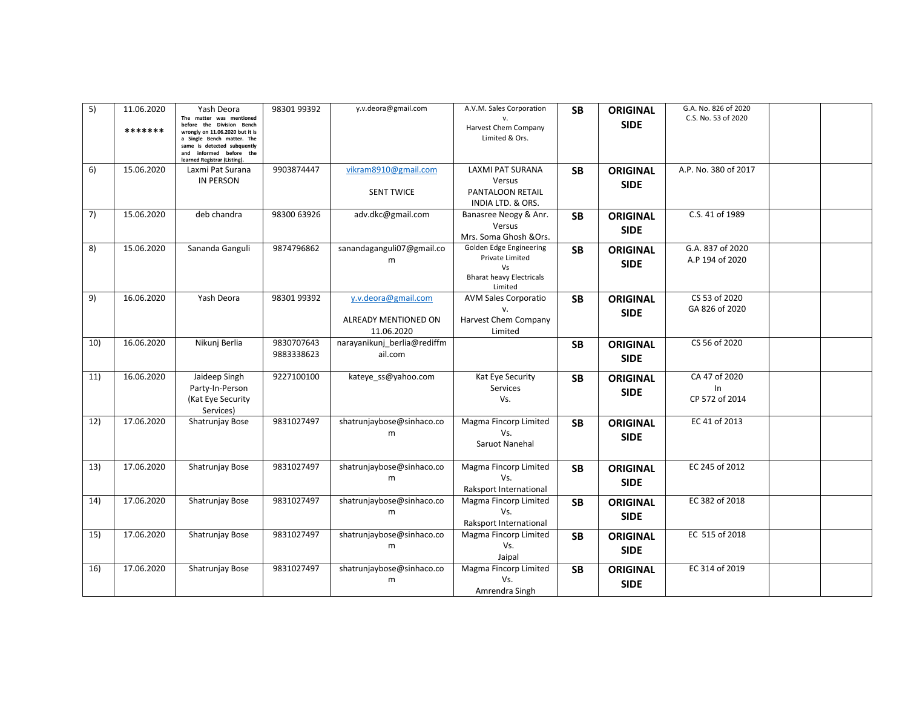| 5)  | 11.06.2020<br>******* | Yash Deora<br>The matter was mentioned<br>before the Division Bench<br>wrongly on 11.06.2020 but it is<br>a Single Bench matter. The<br>same is detected subquently<br>and informed before the<br>learned Registrar (Listing). | 9830199392               | y.v.deora@gmail.com                                       | A.V.M. Sales Corporation<br>Harvest Chem Company<br>Limited & Ors.                             | <b>SB</b> | <b>ORIGINAL</b><br><b>SIDE</b> | G.A. No. 826 of 2020<br>C.S. No. 53 of 2020 |  |
|-----|-----------------------|--------------------------------------------------------------------------------------------------------------------------------------------------------------------------------------------------------------------------------|--------------------------|-----------------------------------------------------------|------------------------------------------------------------------------------------------------|-----------|--------------------------------|---------------------------------------------|--|
| 6)  | 15.06.2020            | Laxmi Pat Surana<br><b>IN PERSON</b>                                                                                                                                                                                           | 9903874447               | vikram8910@gmail.com<br><b>SENT TWICE</b>                 | LAXMI PAT SURANA<br>Versus<br>PANTALOON RETAIL<br>INDIA LTD. & ORS.                            | <b>SB</b> | <b>ORIGINAL</b><br><b>SIDE</b> | A.P. No. 380 of 2017                        |  |
| 7)  | 15.06.2020            | deb chandra                                                                                                                                                                                                                    | 98300 63926              | adv.dkc@gmail.com                                         | Banasree Neogy & Anr.<br>Versus<br>Mrs. Soma Ghosh & Ors.                                      | <b>SB</b> | <b>ORIGINAL</b><br><b>SIDE</b> | C.S. 41 of 1989                             |  |
| 8)  | 15.06.2020            | Sananda Ganguli                                                                                                                                                                                                                | 9874796862               | sanandaganguli07@gmail.co<br>m                            | Golden Edge Engineering<br>Private Limited<br>Vs<br><b>Bharat heavy Electricals</b><br>Limited | <b>SB</b> | <b>ORIGINAL</b><br><b>SIDE</b> | G.A. 837 of 2020<br>A.P 194 of 2020         |  |
| 9)  | 16.06.2020            | Yash Deora                                                                                                                                                                                                                     | 98301 99392              | v.v.deora@gmail.com<br>ALREADY MENTIONED ON<br>11.06.2020 | <b>AVM Sales Corporatio</b><br>Harvest Chem Company<br>Limited                                 | <b>SB</b> | <b>ORIGINAL</b><br><b>SIDE</b> | CS 53 of 2020<br>GA 826 of 2020             |  |
| 10) | 16.06.2020            | Nikuni Berlia                                                                                                                                                                                                                  | 9830707643<br>9883338623 | narayanikunj berlia@rediffm<br>ail.com                    |                                                                                                | <b>SB</b> | <b>ORIGINAL</b><br><b>SIDE</b> | CS 56 of 2020                               |  |
| 11) | 16.06.2020            | Jaideep Singh<br>Party-In-Person<br>(Kat Eye Security<br>Services)                                                                                                                                                             | 9227100100               | kateye ss@yahoo.com                                       | Kat Eye Security<br>Services<br>Vs.                                                            | <b>SB</b> | <b>ORIGINAL</b><br><b>SIDE</b> | CA 47 of 2020<br>In.<br>CP 572 of 2014      |  |
| 12) | 17.06.2020            | Shatrunjay Bose                                                                                                                                                                                                                | 9831027497               | shatrunjaybose@sinhaco.co<br>m                            | Magma Fincorp Limited<br>Vs.<br>Saruot Nanehal                                                 | <b>SB</b> | <b>ORIGINAL</b><br><b>SIDE</b> | EC 41 of 2013                               |  |
| 13) | 17.06.2020            | Shatrunjay Bose                                                                                                                                                                                                                | 9831027497               | shatrunjaybose@sinhaco.co<br>m                            | Magma Fincorp Limited<br>Vs.<br>Raksport International                                         | <b>SB</b> | <b>ORIGINAL</b><br><b>SIDE</b> | EC 245 of 2012                              |  |
| 14) | 17.06.2020            | Shatrunjay Bose                                                                                                                                                                                                                | 9831027497               | shatrunjaybose@sinhaco.co<br>m                            | Magma Fincorp Limited<br>Vs.<br>Raksport International                                         | <b>SB</b> | <b>ORIGINAL</b><br><b>SIDE</b> | EC 382 of 2018                              |  |
| 15) | 17.06.2020            | Shatrunjay Bose                                                                                                                                                                                                                | 9831027497               | shatrunjaybose@sinhaco.co<br>m                            | Magma Fincorp Limited<br>Vs.<br>Jaipal                                                         | <b>SB</b> | <b>ORIGINAL</b><br><b>SIDE</b> | EC 515 of 2018                              |  |
| 16) | 17.06.2020            | Shatrunjay Bose                                                                                                                                                                                                                | 9831027497               | shatrunjaybose@sinhaco.co<br>m                            | Magma Fincorp Limited<br>Vs.<br>Amrendra Singh                                                 | <b>SB</b> | <b>ORIGINAL</b><br><b>SIDE</b> | EC 314 of 2019                              |  |